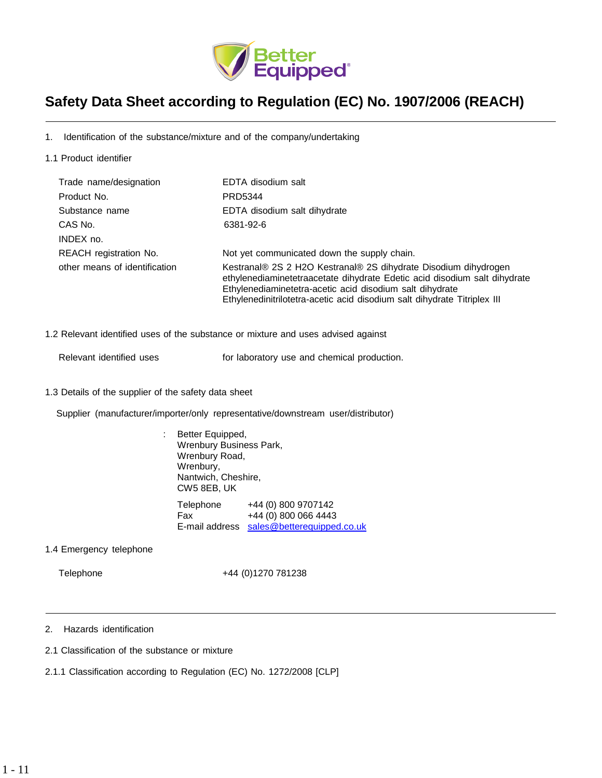

# **Safety Data Sheet according to Regulation (EC) No. 1907/2006 (REACH)**

1. Identification of the substance/mixture and of the company/undertaking

1.1 Product identifier

| Trade name/designation        | EDTA disodium salt                                                                                                                                                                                                                                                                   |
|-------------------------------|--------------------------------------------------------------------------------------------------------------------------------------------------------------------------------------------------------------------------------------------------------------------------------------|
| Product No.                   | PRD5344                                                                                                                                                                                                                                                                              |
| Substance name                | EDTA disodium salt dihydrate                                                                                                                                                                                                                                                         |
| CAS No.                       | 6381-92-6                                                                                                                                                                                                                                                                            |
| INDEX no.                     |                                                                                                                                                                                                                                                                                      |
| REACH registration No.        | Not yet communicated down the supply chain.                                                                                                                                                                                                                                          |
| other means of identification | Kestranal® 2S 2 H2O Kestranal® 2S dihydrate Disodium dihydrogen<br>ethylenediaminetetraacetate dihydrate Edetic acid disodium salt dihydrate<br>Ethylenediaminetetra-acetic acid disodium salt dihydrate<br>Ethylenedinitrilotetra-acetic acid disodium salt dihydrate Titriplex III |

1.2 Relevant identified uses of the substance or mixture and uses advised against

Relevant identified uses **For laboratory use and chemical production.** 

1.3 Details of the supplier of the safety data sheet

Supplier (manufacturer/importer/only representative/downstream user/distributor)

: Better Equipped, Wrenbury Business Park, Wrenbury Road, Wrenbury, Nantwich, Cheshire, CW5 8EB, UK Telephone +44 (0) 800 9707142 Fax +44 (0) 800 066 4443 E-mail address [sales@betterequipped.co.uk](mailto:sales@betterequipped.co.uk)

1.4 Emergency telephone

Telephone +44 (0)1270 781238

2. Hazards identification

- 2.1 Classification of the substance or mixture
- 2.1.1 Classification according to Regulation (EC) No. 1272/2008 [CLP]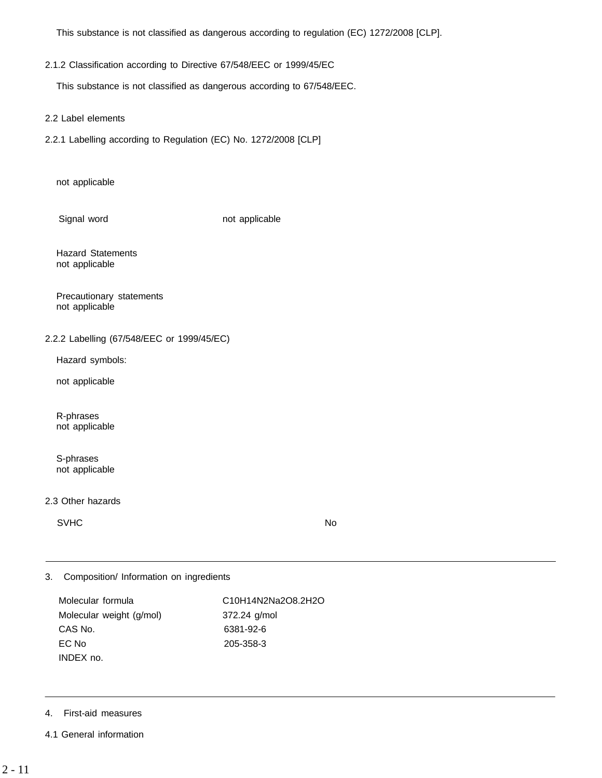This substance is not classified as dangerous according to regulation (EC) 1272/2008 [CLP].

## 2.1.2 Classification according to Directive 67/548/EEC or 1999/45/EC

This substance is not classified as dangerous according to 67/548/EEC.

2.2 Label elements

2.2.1 Labelling according to Regulation (EC) No. 1272/2008 [CLP]

not applicable

Signal word not applicable

Hazard Statements not applicable

Precautionary statements not applicable

## 2.2.2 Labelling (67/548/EEC or 1999/45/EC)

Hazard symbols:

not applicable

R-phrases not applicable

S-phrases not applicable

#### 2.3 Other hazards

SVHC No. 2006. In the set of the set of the set of the set of the set of the set of the set of the set of the s

3. Composition/ Information on ingredients

Molecular weight (g/mol) 372.24 g/mol CAS No. 6381-92-6 EC No 205-358-3 INDEX no.

Molecular formula C10H14N2Na2O8.2H2O

## 4. First-aid measures

4.1 General information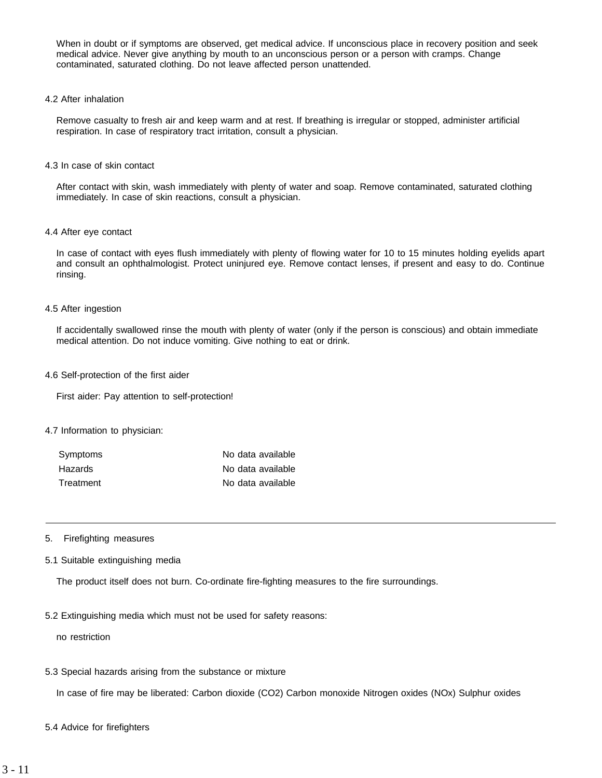When in doubt or if symptoms are observed, get medical advice. If unconscious place in recovery position and seek medical advice. Never give anything by mouth to an unconscious person or a person with cramps. Change contaminated, saturated clothing. Do not leave affected person unattended.

4.2 After inhalation

Remove casualty to fresh air and keep warm and at rest. If breathing is irregular or stopped, administer artificial respiration. In case of respiratory tract irritation, consult a physician.

4.3 In case of skin contact

After contact with skin, wash immediately with plenty of water and soap. Remove contaminated, saturated clothing immediately. In case of skin reactions, consult a physician.

4.4 After eye contact

In case of contact with eyes flush immediately with plenty of flowing water for 10 to 15 minutes holding eyelids apart and consult an ophthalmologist. Protect uninjured eye. Remove contact lenses, if present and easy to do. Continue rinsing.

#### 4.5 After ingestion

If accidentally swallowed rinse the mouth with plenty of water (only if the person is conscious) and obtain immediate medical attention. Do not induce vomiting. Give nothing to eat or drink.

4.6 Self-protection of the first aider

First aider: Pay attention to self-protection!

#### 4.7 Information to physician:

| Symptoms  | No data available |
|-----------|-------------------|
| Hazards   | No data available |
| Treatment | No data available |

- 5. Firefighting measures
- 5.1 Suitable extinguishing media

The product itself does not burn. Co-ordinate fire-fighting measures to the fire surroundings.

5.2 Extinguishing media which must not be used for safety reasons:

no restriction

5.3 Special hazards arising from the substance or mixture

In case of fire may be liberated: Carbon dioxide (CO2) Carbon monoxide Nitrogen oxides (NOx) Sulphur oxides

5.4 Advice for firefighters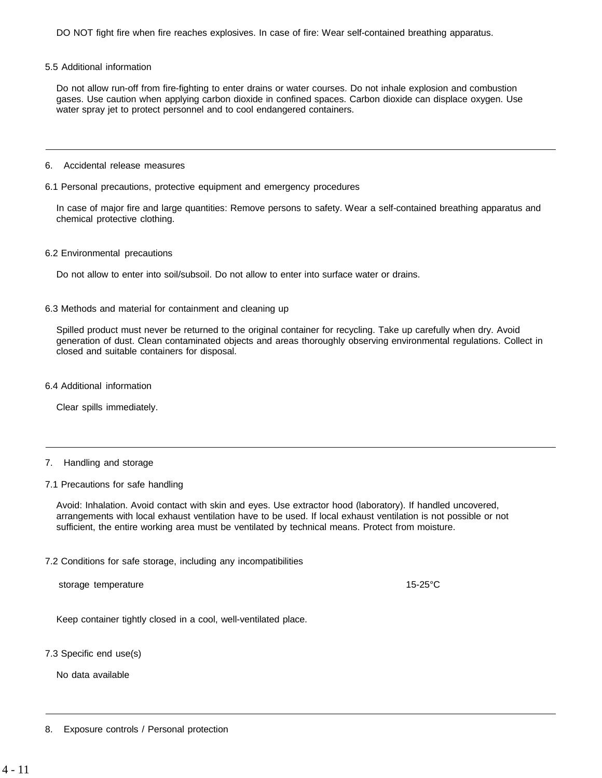DO NOT fight fire when fire reaches explosives. In case of fire: Wear self-contained breathing apparatus.

#### 5.5 Additional information

Do not allow run-off from fire-fighting to enter drains or water courses. Do not inhale explosion and combustion gases. Use caution when applying carbon dioxide in confined spaces. Carbon dioxide can displace oxygen. Use water spray jet to protect personnel and to cool endangered containers.

#### 6. Accidental release measures

#### 6.1 Personal precautions, protective equipment and emergency procedures

In case of major fire and large quantities: Remove persons to safety. Wear a self-contained breathing apparatus and chemical protective clothing.

#### 6.2 Environmental precautions

Do not allow to enter into soil/subsoil. Do not allow to enter into surface water or drains.

#### 6.3 Methods and material for containment and cleaning up

Spilled product must never be returned to the original container for recycling. Take up carefully when dry. Avoid generation of dust. Clean contaminated objects and areas thoroughly observing environmental regulations. Collect in closed and suitable containers for disposal.

#### 6.4 Additional information

Clear spills immediately.

#### 7. Handling and storage

#### 7.1 Precautions for safe handling

Avoid: Inhalation. Avoid contact with skin and eyes. Use extractor hood (laboratory). If handled uncovered, arrangements with local exhaust ventilation have to be used. If local exhaust ventilation is not possible or not sufficient, the entire working area must be ventilated by technical means. Protect from moisture.

#### 7.2 Conditions for safe storage, including any incompatibilities

storage temperature 15-25°C

Keep container tightly closed in a cool, well-ventilated place.

7.3 Specific end use(s)

No data available

8. Exposure controls / Personal protection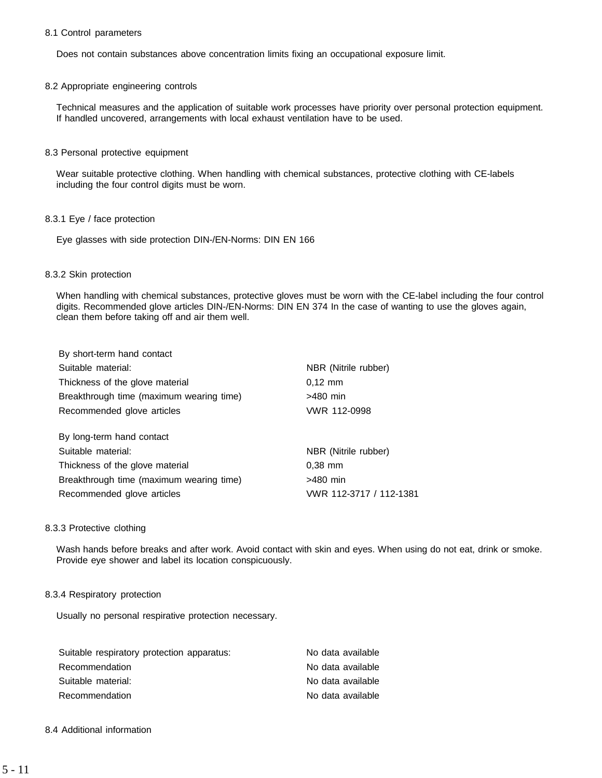#### 8.1 Control parameters

Does not contain substances above concentration limits fixing an occupational exposure limit.

#### 8.2 Appropriate engineering controls

Technical measures and the application of suitable work processes have priority over personal protection equipment. If handled uncovered, arrangements with local exhaust ventilation have to be used.

#### 8.3 Personal protective equipment

Wear suitable protective clothing. When handling with chemical substances, protective clothing with CE-labels including the four control digits must be worn.

#### 8.3.1 Eye / face protection

Eye glasses with side protection DIN-/EN-Norms: DIN EN 166

#### 8.3.2 Skin protection

When handling with chemical substances, protective gloves must be worn with the CE-label including the four control digits. Recommended glove articles DIN-/EN-Norms: DIN EN 374 In the case of wanting to use the gloves again, clean them before taking off and air them well.

| By short-term hand contact               |                         |
|------------------------------------------|-------------------------|
| Suitable material:                       | NBR (Nitrile rubber)    |
| Thickness of the glove material          | $0,12 \, \text{mm}$     |
| Breakthrough time (maximum wearing time) | $>480$ min              |
| Recommended glove articles               | VWR 112-0998            |
| By long-term hand contact                |                         |
| Suitable material:                       | NBR (Nitrile rubber)    |
| Thickness of the glove material          | $0.38$ mm               |
| Breakthrough time (maximum wearing time) | $>480$ min              |
| Recommended glove articles               | VWR 112-3717 / 112-1381 |

#### 8.3.3 Protective clothing

Wash hands before breaks and after work. Avoid contact with skin and eyes. When using do not eat, drink or smoke. Provide eye shower and label its location conspicuously.

#### 8.3.4 Respiratory protection

Usually no personal respirative protection necessary.

| Suitable respiratory protection apparatus: | No data available |
|--------------------------------------------|-------------------|
| Recommendation                             | No data available |
| Suitable material:                         | No data available |
| Recommendation                             | No data available |

## 8.4 Additional information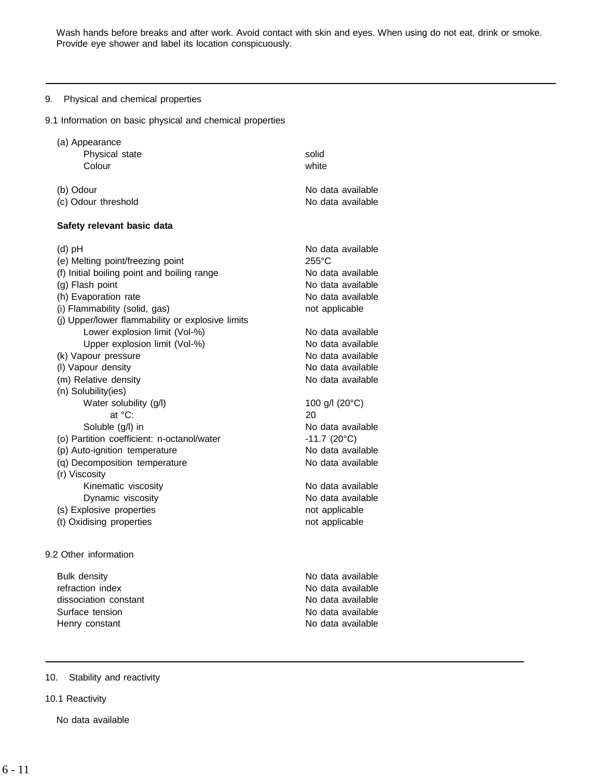Wash hands before breaks and after work. Avoid contact with skin and eyes. When using do not eat, drink or smoke. Provide eye shower and label its location conspicuously.

## 9. Physical and chemical properties

9.1 Information on basic physical and chemical properties

| (a) Appearance                                   |                           |
|--------------------------------------------------|---------------------------|
| Physical state                                   | solid                     |
| Colour                                           | white                     |
| (b) Odour                                        | No data available         |
| (c) Odour threshold                              | No data available         |
| Safety relevant basic data                       |                           |
| $(d)$ pH                                         | No data available         |
| (e) Melting point/freezing point                 | $255^{\circ}$ C           |
| (f) Initial boiling point and boiling range      | No data available         |
| (g) Flash point                                  | No data available         |
| (h) Evaporation rate                             | No data available         |
| (i) Flammability (solid, gas)                    | not applicable            |
| (j) Upper/lower flammability or explosive limits |                           |
| Lower explosion limit (Vol-%)                    | No data available         |
| Upper explosion limit (Vol-%)                    | No data available         |
| (k) Vapour pressure                              | No data available         |
| (I) Vapour density                               | No data available         |
| (m) Relative density                             | No data available         |
| (n) Solubility(ies)                              |                           |
| Water solubility (g/l)                           | 100 g/l (20°C)            |
| at °C:                                           | 20                        |
| Soluble (g/l) in                                 | No data available         |
| (o) Partition coefficient: n-octanol/water       | $-11.7$ (20 $^{\circ}$ C) |
| (p) Auto-ignition temperature                    | No data available         |
| (q) Decomposition temperature                    | No data available         |
| (r) Viscosity                                    |                           |
| Kinematic viscosity                              | No data available         |
| Dynamic viscosity                                | No data available         |
| (s) Explosive properties                         | not applicable            |
| (t) Oxidising properties                         | not applicable            |
| 9.2 Other information                            |                           |
| <b>Bulk density</b>                              | No data available         |
| refraction index                                 | No data available         |
| dissociation constant                            | No data available         |

Surface tension No data available Henry constant **No data available** 

## 10. Stability and reactivity

10.1 Reactivity

No data available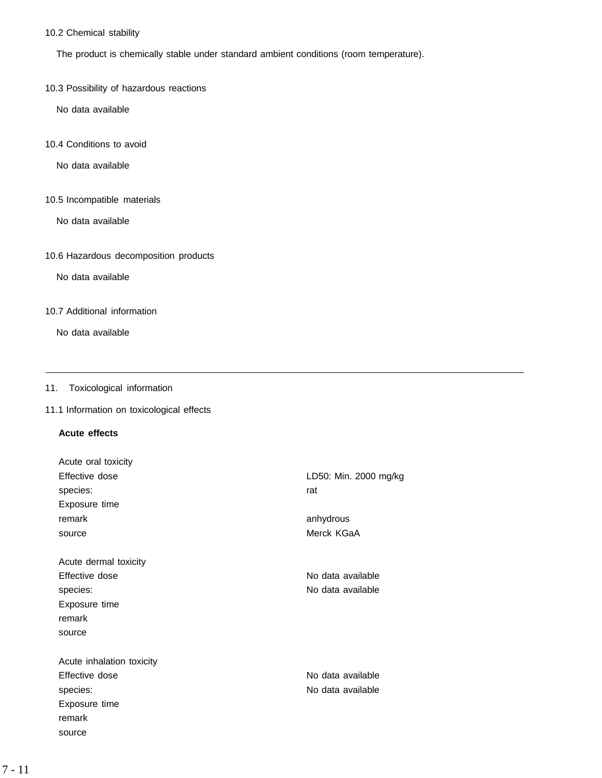## 10.2 Chemical stability

The product is chemically stable under standard ambient conditions (room temperature).

10.3 Possibility of hazardous reactions

No data available

10.4 Conditions to avoid

No data available

10.5 Incompatible materials

No data available

## 10.6 Hazardous decomposition products

No data available

## 10.7 Additional information

No data available

## 11. Toxicological information

## 11.1 Information on toxicological effects

## **Acute effects**

| Acute oral toxicity       |                       |
|---------------------------|-----------------------|
| Effective dose            | LD50: Min. 2000 mg/kg |
| species:                  | rat                   |
| Exposure time             |                       |
| remark                    | anhydrous             |
| source                    | Merck KGaA            |
|                           |                       |
| Acute dermal toxicity     |                       |
| Effective dose            | No data available     |
| species:                  | No data available     |
| Exposure time             |                       |
| remark                    |                       |
| source                    |                       |
| Acute inhalation toxicity |                       |
| Effective dose            | No data available     |
| species:                  | No data available     |
|                           |                       |
| Exposure time             |                       |
| remark                    |                       |
| source                    |                       |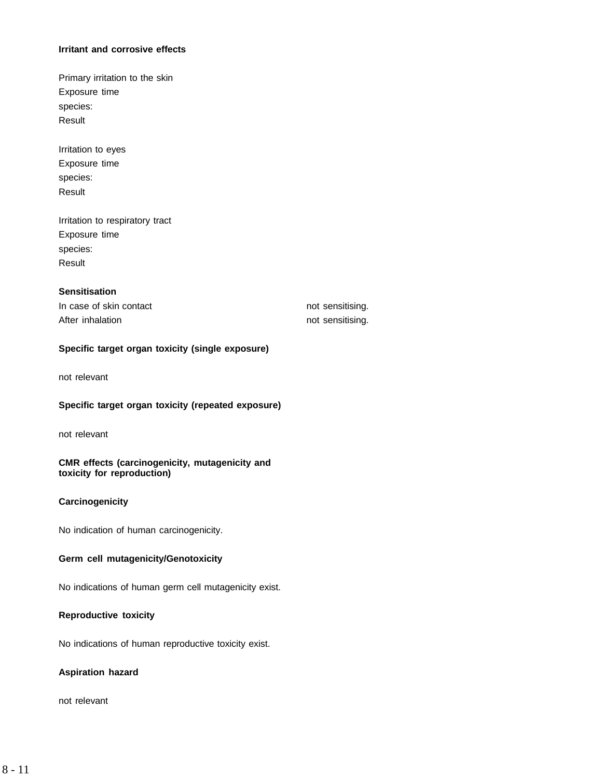#### **Irritant and corrosive effects**

Primary irritation to the skin Exposure time species: Result

Irritation to eyes Exposure time species: Result

Irritation to respiratory tract Exposure time species: Result

## **Sensitisation**

In case of skin contact not sensitising. After inhalation not sensitising.

## **Specific target organ toxicity (single exposure)**

not relevant

## **Specific target organ toxicity (repeated exposure)**

not relevant

## **CMR effects (carcinogenicity, mutagenicity and toxicity for reproduction)**

## **Carcinogenicity**

No indication of human carcinogenicity.

## **Germ cell mutagenicity/Genotoxicity**

No indications of human germ cell mutagenicity exist.

## **Reproductive toxicity**

No indications of human reproductive toxicity exist.

## **Aspiration hazard**

not relevant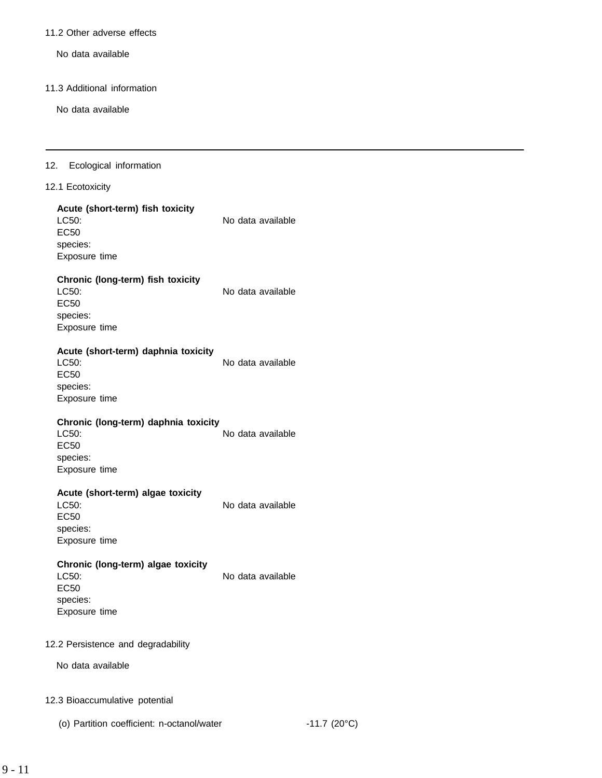#### 11.2 Other adverse effects

No data available

#### 11.3 Additional information

No data available

#### 12. Ecological information

### 12.1 Ecotoxicity

### **Acute (short-term) fish toxicity** LC50: No data available

EC50 species: Exposure time

## **Chronic (long-term) fish toxicity**

LC50: No data available EC50 species: Exposure time

## **Acute (short-term) daphnia toxicity**

LC50: No data available EC50 species: Exposure time

## **Chronic (long-term) daphnia toxicity**

LC50: No data available EC50 species: Exposure time

## **Acute (short-term) algae toxicity**

EC50 species: Exposure time

species: Exposure time

## LC50: No data available

**Chronic (long-term) algae toxicity** LC50: No data available EC50

## 12.2 Persistence and degradability

No data available

#### 12.3 Bioaccumulative potential

(o) Partition coefficient: n-octanol/water -11.7 (20°C)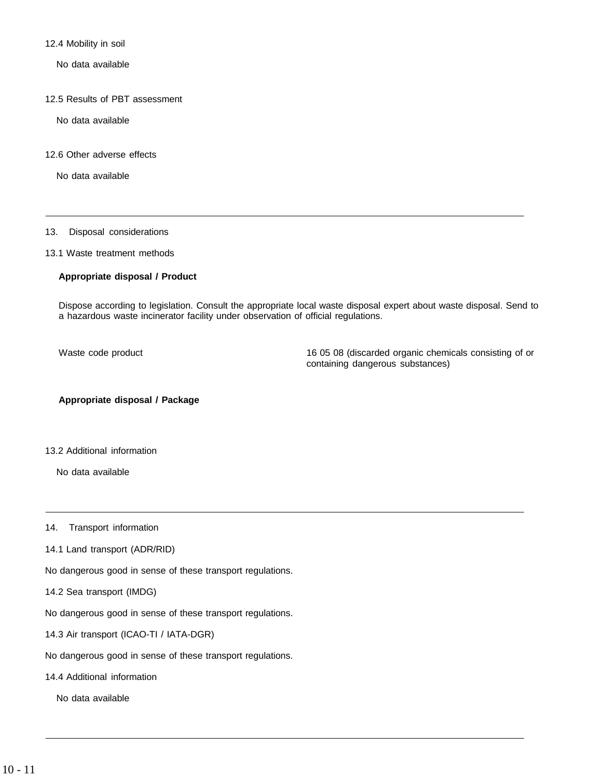12.4 Mobility in soil

No data available

12.5 Results of PBT assessment

No data available

12.6 Other adverse effects

No data available

#### 13. Disposal considerations

13.1 Waste treatment methods

#### **Appropriate disposal / Product**

Dispose according to legislation. Consult the appropriate local waste disposal expert about waste disposal. Send to a hazardous waste incinerator facility under observation of official regulations.

Waste code product 16 05 08 (discarded organic chemicals consisting of or containing dangerous substances)

## **Appropriate disposal / Package**

13.2 Additional information

No data available

14. Transport information

- 14.1 Land transport (ADR/RID)
- No dangerous good in sense of these transport regulations.
- 14.2 Sea transport (IMDG)

No dangerous good in sense of these transport regulations.

14.3 Air transport (ICAO-TI / IATA-DGR)

No dangerous good in sense of these transport regulations.

14.4 Additional information

No data available